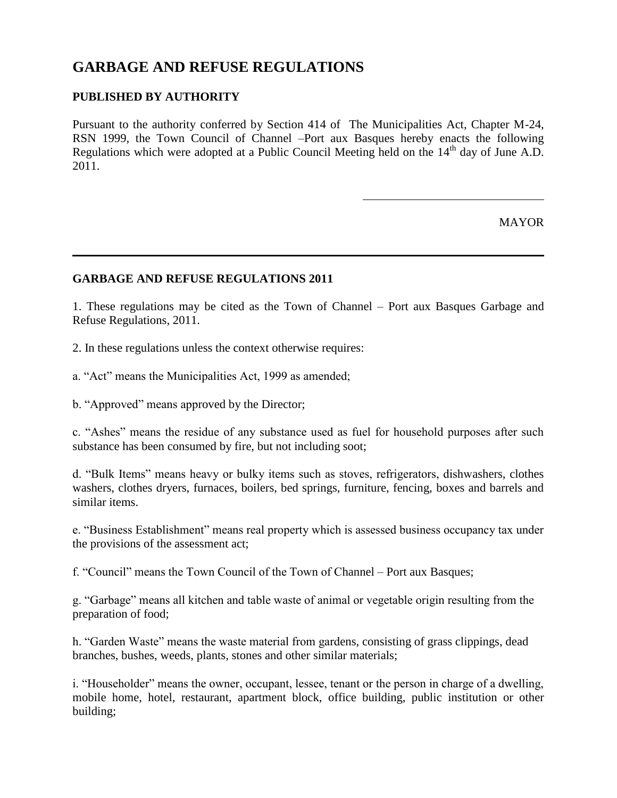# **GARBAGE AND REFUSE REGULATIONS**

## **PUBLISHED BY AUTHORITY**

Pursuant to the authority conferred by Section 414 of The Municipalities Act, Chapter M-24, RSN 1999, the Town Council of Channel –Port aux Basques hereby enacts the following Regulations which were adopted at a Public Council Meeting held on the 14<sup>th</sup> day of June A.D. 2011.

**MAYOR** 

#### **GARBAGE AND REFUSE REGULATIONS 2011**

1. These regulations may be cited as the Town of Channel – Port aux Basques Garbage and Refuse Regulations, 2011.

2. In these regulations unless the context otherwise requires:

a. "Act" means the Municipalities Act, 1999 as amended;

b. "Approved" means approved by the Director;

c. "Ashes" means the residue of any substance used as fuel for household purposes after such substance has been consumed by fire, but not including soot;

d. "Bulk Items" means heavy or bulky items such as stoves, refrigerators, dishwashers, clothes washers, clothes dryers, furnaces, boilers, bed springs, furniture, fencing, boxes and barrels and similar items.

e. "Business Establishment" means real property which is assessed business occupancy tax under the provisions of the assessment act;

f. "Council" means the Town Council of the Town of Channel – Port aux Basques;

g. "Garbage" means all kitchen and table waste of animal or vegetable origin resulting from the preparation of food;

h. "Garden Waste" means the waste material from gardens, consisting of grass clippings, dead branches, bushes, weeds, plants, stones and other similar materials;

i. "Householder" means the owner, occupant, lessee, tenant or the person in charge of a dwelling, mobile home, hotel, restaurant, apartment block, office building, public institution or other building;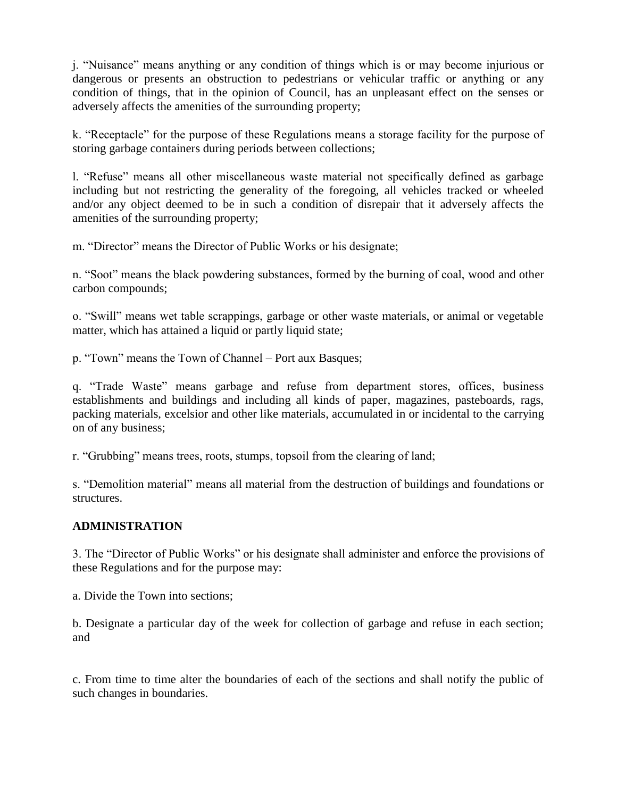j. "Nuisance" means anything or any condition of things which is or may become injurious or dangerous or presents an obstruction to pedestrians or vehicular traffic or anything or any condition of things, that in the opinion of Council, has an unpleasant effect on the senses or adversely affects the amenities of the surrounding property;

k. "Receptacle" for the purpose of these Regulations means a storage facility for the purpose of storing garbage containers during periods between collections;

l. "Refuse" means all other miscellaneous waste material not specifically defined as garbage including but not restricting the generality of the foregoing, all vehicles tracked or wheeled and/or any object deemed to be in such a condition of disrepair that it adversely affects the amenities of the surrounding property;

m. "Director" means the Director of Public Works or his designate;

n. "Soot" means the black powdering substances, formed by the burning of coal, wood and other carbon compounds;

o. "Swill" means wet table scrappings, garbage or other waste materials, or animal or vegetable matter, which has attained a liquid or partly liquid state;

p. "Town" means the Town of Channel – Port aux Basques;

q. "Trade Waste" means garbage and refuse from department stores, offices, business establishments and buildings and including all kinds of paper, magazines, pasteboards, rags, packing materials, excelsior and other like materials, accumulated in or incidental to the carrying on of any business;

r. "Grubbing" means trees, roots, stumps, topsoil from the clearing of land;

s. "Demolition material" means all material from the destruction of buildings and foundations or structures.

#### **ADMINISTRATION**

3. The "Director of Public Works" or his designate shall administer and enforce the provisions of these Regulations and for the purpose may:

a. Divide the Town into sections;

b. Designate a particular day of the week for collection of garbage and refuse in each section; and

c. From time to time alter the boundaries of each of the sections and shall notify the public of such changes in boundaries.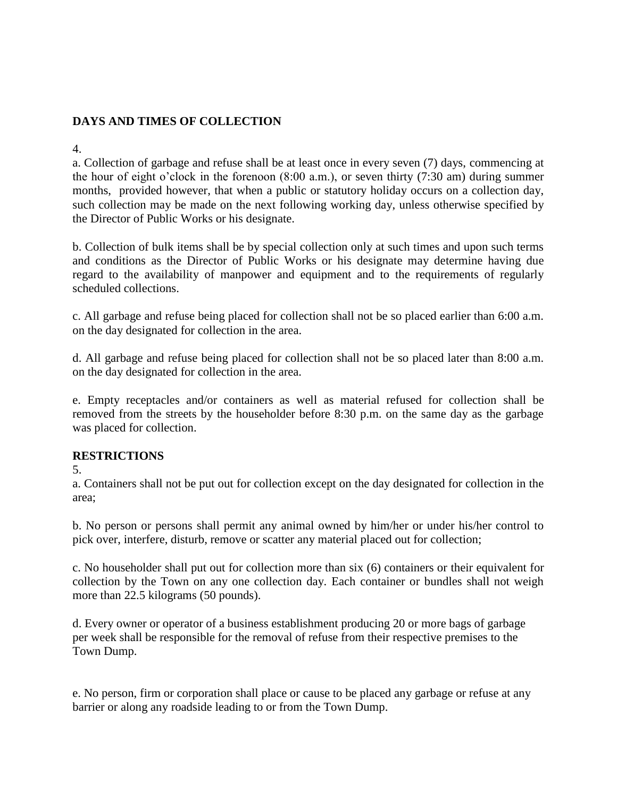# **DAYS AND TIMES OF COLLECTION**

4.

a. Collection of garbage and refuse shall be at least once in every seven (7) days, commencing at the hour of eight o'clock in the forenoon (8:00 a.m.), or seven thirty (7:30 am) during summer months, provided however, that when a public or statutory holiday occurs on a collection day, such collection may be made on the next following working day, unless otherwise specified by the Director of Public Works or his designate.

b. Collection of bulk items shall be by special collection only at such times and upon such terms and conditions as the Director of Public Works or his designate may determine having due regard to the availability of manpower and equipment and to the requirements of regularly scheduled collections.

c. All garbage and refuse being placed for collection shall not be so placed earlier than 6:00 a.m. on the day designated for collection in the area.

d. All garbage and refuse being placed for collection shall not be so placed later than 8:00 a.m. on the day designated for collection in the area.

e. Empty receptacles and/or containers as well as material refused for collection shall be removed from the streets by the householder before 8:30 p.m. on the same day as the garbage was placed for collection.

#### **RESTRICTIONS**

5.

a. Containers shall not be put out for collection except on the day designated for collection in the area;

b. No person or persons shall permit any animal owned by him/her or under his/her control to pick over, interfere, disturb, remove or scatter any material placed out for collection;

c. No householder shall put out for collection more than six (6) containers or their equivalent for collection by the Town on any one collection day. Each container or bundles shall not weigh more than 22.5 kilograms (50 pounds).

d. Every owner or operator of a business establishment producing 20 or more bags of garbage per week shall be responsible for the removal of refuse from their respective premises to the Town Dump.

e. No person, firm or corporation shall place or cause to be placed any garbage or refuse at any barrier or along any roadside leading to or from the Town Dump.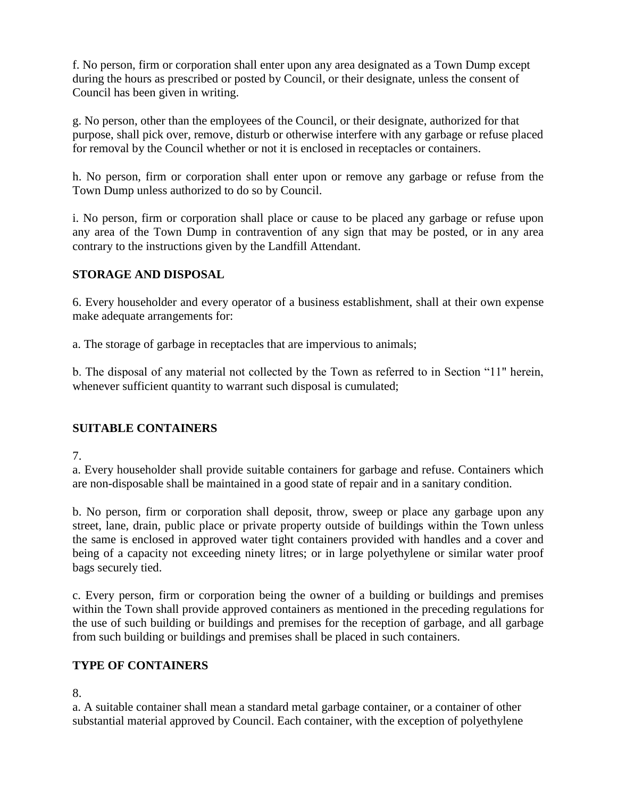f. No person, firm or corporation shall enter upon any area designated as a Town Dump except during the hours as prescribed or posted by Council, or their designate, unless the consent of Council has been given in writing.

g. No person, other than the employees of the Council, or their designate, authorized for that purpose, shall pick over, remove, disturb or otherwise interfere with any garbage or refuse placed for removal by the Council whether or not it is enclosed in receptacles or containers.

h. No person, firm or corporation shall enter upon or remove any garbage or refuse from the Town Dump unless authorized to do so by Council.

i. No person, firm or corporation shall place or cause to be placed any garbage or refuse upon any area of the Town Dump in contravention of any sign that may be posted, or in any area contrary to the instructions given by the Landfill Attendant.

## **STORAGE AND DISPOSAL**

6. Every householder and every operator of a business establishment, shall at their own expense make adequate arrangements for:

a. The storage of garbage in receptacles that are impervious to animals;

b. The disposal of any material not collected by the Town as referred to in Section "11" herein, whenever sufficient quantity to warrant such disposal is cumulated;

## **SUITABLE CONTAINERS**

7.

a. Every householder shall provide suitable containers for garbage and refuse. Containers which are non-disposable shall be maintained in a good state of repair and in a sanitary condition.

b. No person, firm or corporation shall deposit, throw, sweep or place any garbage upon any street, lane, drain, public place or private property outside of buildings within the Town unless the same is enclosed in approved water tight containers provided with handles and a cover and being of a capacity not exceeding ninety litres; or in large polyethylene or similar water proof bags securely tied.

c. Every person, firm or corporation being the owner of a building or buildings and premises within the Town shall provide approved containers as mentioned in the preceding regulations for the use of such building or buildings and premises for the reception of garbage, and all garbage from such building or buildings and premises shall be placed in such containers.

## **TYPE OF CONTAINERS**

8.

a. A suitable container shall mean a standard metal garbage container, or a container of other substantial material approved by Council. Each container, with the exception of polyethylene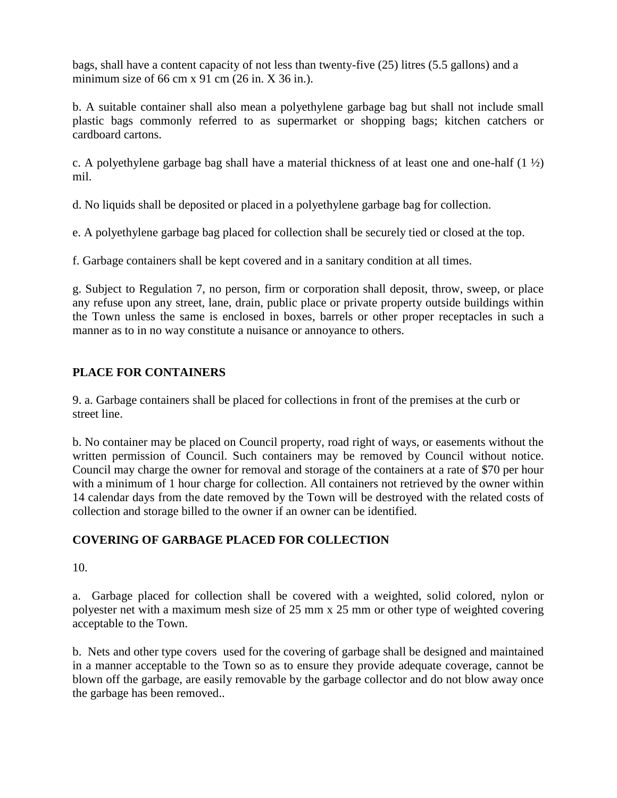bags, shall have a content capacity of not less than twenty-five (25) litres (5.5 gallons) and a minimum size of 66 cm x 91 cm  $(26 \text{ in. X } 36 \text{ in.})$ .

b. A suitable container shall also mean a polyethylene garbage bag but shall not include small plastic bags commonly referred to as supermarket or shopping bags; kitchen catchers or cardboard cartons.

c. A polyethylene garbage bag shall have a material thickness of at least one and one-half  $(1 \frac{1}{2})$ mil.

d. No liquids shall be deposited or placed in a polyethylene garbage bag for collection.

e. A polyethylene garbage bag placed for collection shall be securely tied or closed at the top.

f. Garbage containers shall be kept covered and in a sanitary condition at all times.

g. Subject to Regulation 7, no person, firm or corporation shall deposit, throw, sweep, or place any refuse upon any street, lane, drain, public place or private property outside buildings within the Town unless the same is enclosed in boxes, barrels or other proper receptacles in such a manner as to in no way constitute a nuisance or annoyance to others.

# **PLACE FOR CONTAINERS**

9. a. Garbage containers shall be placed for collections in front of the premises at the curb or street line.

b. No container may be placed on Council property, road right of ways, or easements without the written permission of Council. Such containers may be removed by Council without notice. Council may charge the owner for removal and storage of the containers at a rate of \$70 per hour with a minimum of 1 hour charge for collection. All containers not retrieved by the owner within 14 calendar days from the date removed by the Town will be destroyed with the related costs of collection and storage billed to the owner if an owner can be identified.

# **COVERING OF GARBAGE PLACED FOR COLLECTION**

10.

a. Garbage placed for collection shall be covered with a weighted, solid colored, nylon or polyester net with a maximum mesh size of 25 mm x 25 mm or other type of weighted covering acceptable to the Town.

b. Nets and other type covers used for the covering of garbage shall be designed and maintained in a manner acceptable to the Town so as to ensure they provide adequate coverage, cannot be blown off the garbage, are easily removable by the garbage collector and do not blow away once the garbage has been removed..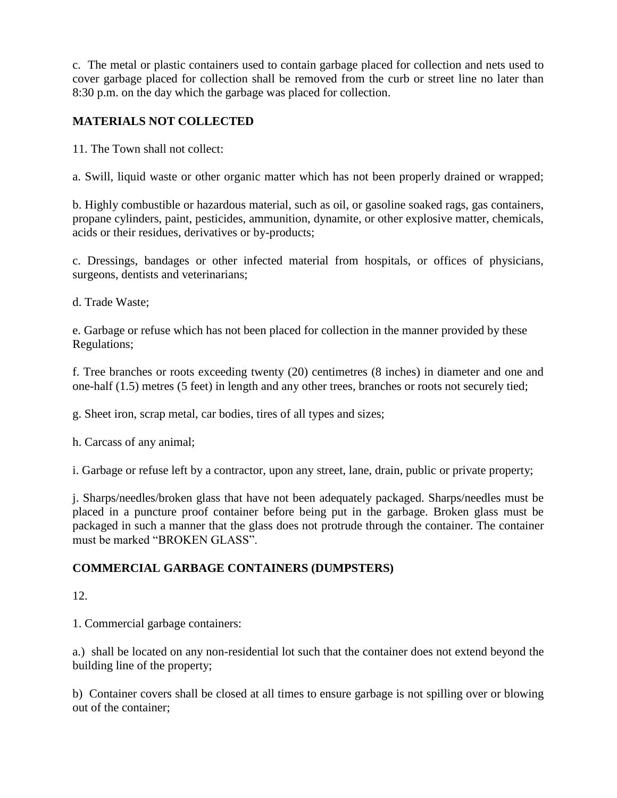c. The metal or plastic containers used to contain garbage placed for collection and nets used to cover garbage placed for collection shall be removed from the curb or street line no later than 8:30 p.m. on the day which the garbage was placed for collection.

# **MATERIALS NOT COLLECTED**

11. The Town shall not collect:

a. Swill, liquid waste or other organic matter which has not been properly drained or wrapped;

b. Highly combustible or hazardous material, such as oil, or gasoline soaked rags, gas containers, propane cylinders, paint, pesticides, ammunition, dynamite, or other explosive matter, chemicals, acids or their residues, derivatives or by-products;

c. Dressings, bandages or other infected material from hospitals, or offices of physicians, surgeons, dentists and veterinarians;

d. Trade Waste;

e. Garbage or refuse which has not been placed for collection in the manner provided by these Regulations;

f. Tree branches or roots exceeding twenty (20) centimetres (8 inches) in diameter and one and one-half (1.5) metres (5 feet) in length and any other trees, branches or roots not securely tied;

g. Sheet iron, scrap metal, car bodies, tires of all types and sizes;

h. Carcass of any animal;

i. Garbage or refuse left by a contractor, upon any street, lane, drain, public or private property;

j. Sharps/needles/broken glass that have not been adequately packaged. Sharps/needles must be placed in a puncture proof container before being put in the garbage. Broken glass must be packaged in such a manner that the glass does not protrude through the container. The container must be marked "BROKEN GLASS".

## **COMMERCIAL GARBAGE CONTAINERS (DUMPSTERS)**

12.

1. Commercial garbage containers:

a.) shall be located on any non-residential lot such that the container does not extend beyond the building line of the property;

b) Container covers shall be closed at all times to ensure garbage is not spilling over or blowing out of the container;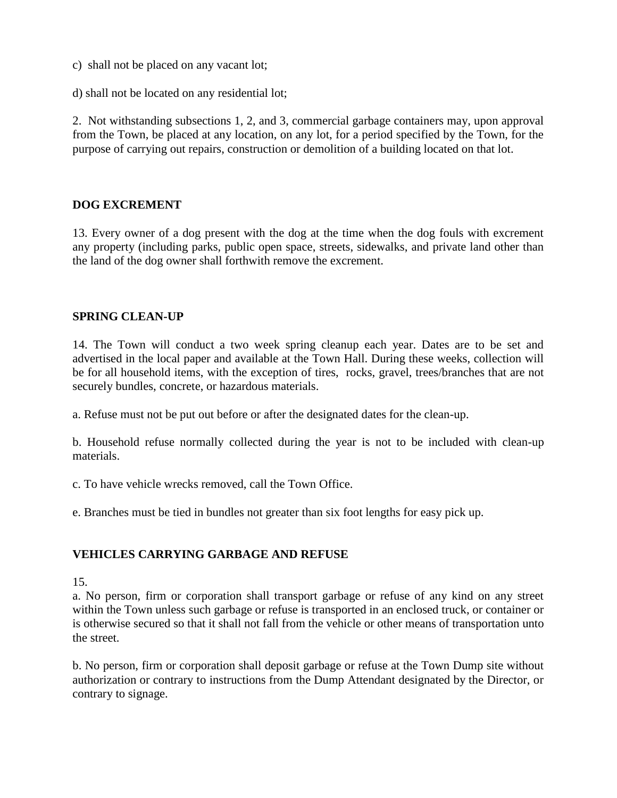- c) shall not be placed on any vacant lot;
- d) shall not be located on any residential lot;

2. Not withstanding subsections 1, 2, and 3, commercial garbage containers may, upon approval from the Town, be placed at any location, on any lot, for a period specified by the Town, for the purpose of carrying out repairs, construction or demolition of a building located on that lot.

#### **DOG EXCREMENT**

13. Every owner of a dog present with the dog at the time when the dog fouls with excrement any property (including parks, public open space, streets, sidewalks, and private land other than the land of the dog owner shall forthwith remove the excrement.

#### **SPRING CLEAN-UP**

14. The Town will conduct a two week spring cleanup each year. Dates are to be set and advertised in the local paper and available at the Town Hall. During these weeks, collection will be for all household items, with the exception of tires, rocks, gravel, trees/branches that are not securely bundles, concrete, or hazardous materials.

a. Refuse must not be put out before or after the designated dates for the clean-up.

b. Household refuse normally collected during the year is not to be included with clean-up materials.

c. To have vehicle wrecks removed, call the Town Office.

e. Branches must be tied in bundles not greater than six foot lengths for easy pick up.

#### **VEHICLES CARRYING GARBAGE AND REFUSE**

15.

a. No person, firm or corporation shall transport garbage or refuse of any kind on any street within the Town unless such garbage or refuse is transported in an enclosed truck, or container or is otherwise secured so that it shall not fall from the vehicle or other means of transportation unto the street.

b. No person, firm or corporation shall deposit garbage or refuse at the Town Dump site without authorization or contrary to instructions from the Dump Attendant designated by the Director, or contrary to signage.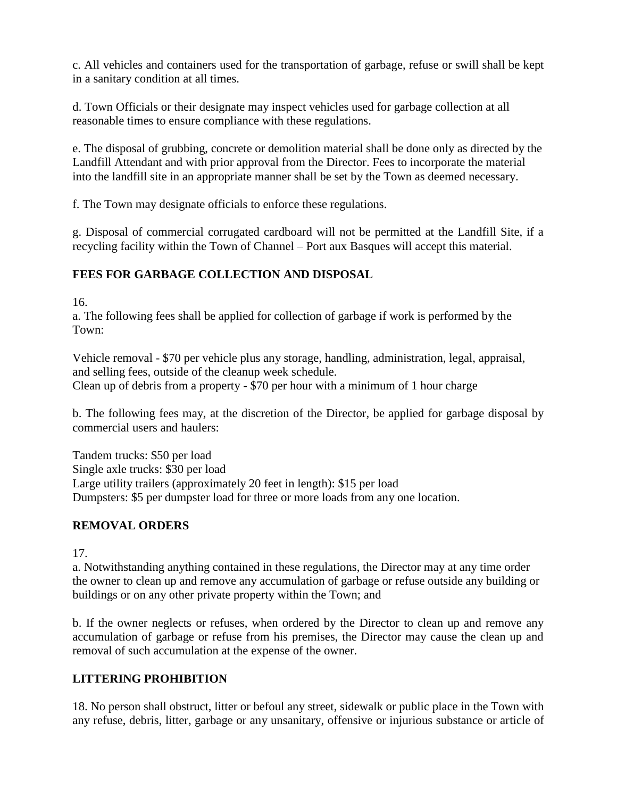c. All vehicles and containers used for the transportation of garbage, refuse or swill shall be kept in a sanitary condition at all times.

d. Town Officials or their designate may inspect vehicles used for garbage collection at all reasonable times to ensure compliance with these regulations.

e. The disposal of grubbing, concrete or demolition material shall be done only as directed by the Landfill Attendant and with prior approval from the Director. Fees to incorporate the material into the landfill site in an appropriate manner shall be set by the Town as deemed necessary.

f. The Town may designate officials to enforce these regulations.

g. Disposal of commercial corrugated cardboard will not be permitted at the Landfill Site, if a recycling facility within the Town of Channel – Port aux Basques will accept this material.

# **FEES FOR GARBAGE COLLECTION AND DISPOSAL**

16.

a. The following fees shall be applied for collection of garbage if work is performed by the Town:

Vehicle removal - \$70 per vehicle plus any storage, handling, administration, legal, appraisal, and selling fees, outside of the cleanup week schedule. Clean up of debris from a property - \$70 per hour with a minimum of 1 hour charge

b. The following fees may, at the discretion of the Director, be applied for garbage disposal by commercial users and haulers:

Tandem trucks: \$50 per load Single axle trucks: \$30 per load Large utility trailers (approximately 20 feet in length): \$15 per load Dumpsters: \$5 per dumpster load for three or more loads from any one location.

# **REMOVAL ORDERS**

17.

a. Notwithstanding anything contained in these regulations, the Director may at any time order the owner to clean up and remove any accumulation of garbage or refuse outside any building or buildings or on any other private property within the Town; and

b. If the owner neglects or refuses, when ordered by the Director to clean up and remove any accumulation of garbage or refuse from his premises, the Director may cause the clean up and removal of such accumulation at the expense of the owner.

# **LITTERING PROHIBITION**

18. No person shall obstruct, litter or befoul any street, sidewalk or public place in the Town with any refuse, debris, litter, garbage or any unsanitary, offensive or injurious substance or article of